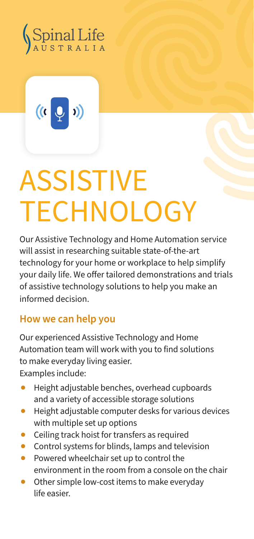

 $\frac{1}{2}$ 1)

## **ASSISTIVE TECHNOLOGY**

Our Assistive Technology and Home Automation service will assist in researching suitable state-of-the-art technology for your home or workplace to help simplify your daily life. We offer tailored demonstrations and trials of assistive technology solutions to help you make an informed decision.

## **How we can help you**

Our experienced Assistive Technology and Home Automation team will work with you to find solutions to make everyday living easier. Examples include:

Height adjustable benches, overhead cupboards and a variety of accessible storage solutions

- Height adjustable computer desks for various devices with multiple set up options
- Ceiling track hoist for transfers as required
- Control systems for blinds, lamps and television
- Powered wheelchair set up to control the environment in the room from a console on the chair
- Other simple low-cost items to make everyday life easier.